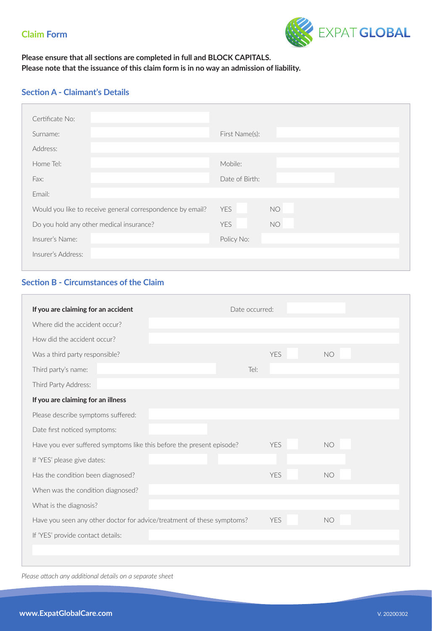

### **Please ensure that all sections are completed in full and BLOCK CAPITALS. Please note that the issuance of this claim form is in no way an admission of liability.**

### **Section A - Claimant's Details**

| Certificate No:                                            |                         |
|------------------------------------------------------------|-------------------------|
| Surname:                                                   | First Name(s):          |
| Address:                                                   |                         |
| Home Tel:                                                  | Mobile:                 |
| Fax:                                                       | Date of Birth:          |
| Email:                                                     |                         |
| Would you like to receive general correspondence by email? | <b>YES</b><br><b>NO</b> |
| Do you hold any other medical insurance?                   | <b>NO</b><br><b>YES</b> |
| Insurer's Name:                                            | Policy No:              |
| Insurer's Address:                                         |                         |
|                                                            |                         |

## **Section B - Circumstances of the Claim**

|                                   |      | <b>YFS</b>                                                                                                                                      | <b>NO</b>      |  |
|-----------------------------------|------|-------------------------------------------------------------------------------------------------------------------------------------------------|----------------|--|
|                                   | Tel: |                                                                                                                                                 |                |  |
|                                   |      |                                                                                                                                                 |                |  |
|                                   |      |                                                                                                                                                 |                |  |
|                                   |      |                                                                                                                                                 |                |  |
|                                   |      |                                                                                                                                                 |                |  |
|                                   |      | <b>YES</b>                                                                                                                                      | <b>NO</b>      |  |
|                                   |      |                                                                                                                                                 |                |  |
|                                   |      | <b>YFS</b>                                                                                                                                      | <b>NO</b>      |  |
| When was the condition diagnosed? |      |                                                                                                                                                 |                |  |
|                                   |      |                                                                                                                                                 |                |  |
|                                   |      | <b>YES</b>                                                                                                                                      | <b>NO</b>      |  |
| If 'YES' provide contact details: |      |                                                                                                                                                 |                |  |
|                                   |      |                                                                                                                                                 |                |  |
|                                   |      | Have you ever suffered symptoms like this before the present episode?<br>Have you seen any other doctor for advice/treatment of these symptoms? | Date occurred: |  |

*Please attach any additional details on a separate sheet*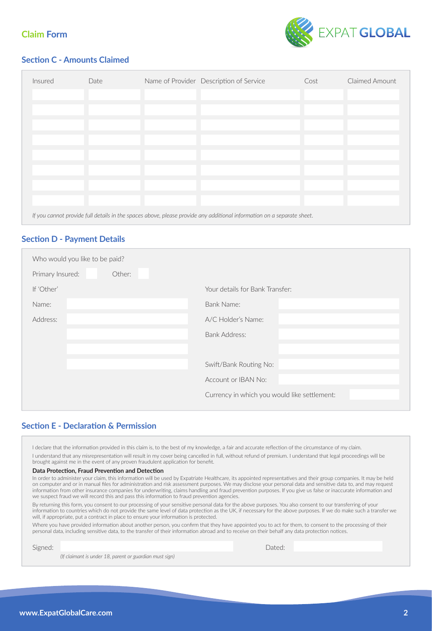

## **Section C - Amounts Claimed**

| Insured | Date                                                                                                                   | Name of Provider Description of Service | Cost | Claimed Amount |  |
|---------|------------------------------------------------------------------------------------------------------------------------|-----------------------------------------|------|----------------|--|
|         |                                                                                                                        |                                         |      |                |  |
|         |                                                                                                                        |                                         |      |                |  |
|         |                                                                                                                        |                                         |      |                |  |
|         |                                                                                                                        |                                         |      |                |  |
|         |                                                                                                                        |                                         |      |                |  |
|         |                                                                                                                        |                                         |      |                |  |
|         |                                                                                                                        |                                         |      |                |  |
|         |                                                                                                                        |                                         |      |                |  |
|         | If you cannot provide full details in the spaces above, please provide any additional information on a separate sheet. |                                         |      |                |  |

### **Section D - Payment Details**

| Who would you like to be paid? |                                              |
|--------------------------------|----------------------------------------------|
| Primary Insured:<br>Other:     |                                              |
| If 'Other'                     | Your details for Bank Transfer:              |
| Name:                          | Bank Name:                                   |
| Address:                       | A/C Holder's Name:                           |
|                                | <b>Bank Address:</b>                         |
|                                |                                              |
|                                | Swift/Bank Routing No:                       |
|                                | Account or IBAN No:                          |
|                                | Currency in which you would like settlement: |
|                                |                                              |

### **Section E - Declaration & Permission**

I declare that the information provided in this claim is, to the best of my knowledge, a fair and accurate reflection of the circumstance of my claim.

I understand that any misrepresentation will result in my cover being cancelled in full, without refund of premium. I understand that legal proceedings will be brought against me in the event of any proven fraudulent application for benefit.

#### **Data Protection, Fraud Prevention and Detection**

In order to administer your claim, this information will be used by Expatriate Healthcare, its appointed representatives and their group companies. It may be held on computer and or in manual files for administration and risk assessment purposes. We may disclose your personal data and sensitive data to, and may request information from other insurance companies for underwriting, claims handling and fraud prevention purposes. If you give us false or inaccurate information and we suspect fraud we will record this and pass this information to fraud prevention agencies.

By returning this form, you consent to our processing of your sensitive personal data for the above purposes. You also consent to our transferring of your information to countries which do not provide the same level of data protection as the UK, if necessary for the above purposes. If we do make such a transfer we will, if appropriate, put a contract in place to ensure your information is protected.

Where you have provided information about another person, you confirm that they have appointed you to act for them, to consent to the processing of their personal data, including sensitive data, to the transfer of their information abroad and to receive on their behalf any data protection notices.

Signed: Dated:

*(If claimant is under 18, parent or guardian must sign)*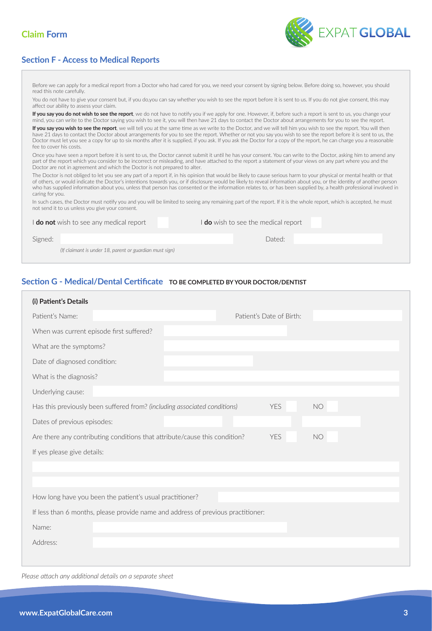



EXPAT GLOBAL

Before we can apply for a medical report from a Doctor who had cared for you, we need your consent by signing below. Before doing so, however, you should read this note carefully.

You do not have to give your consent but, if you do,you can say whether you wish to see the report before it is sent to us. If you do not give consent, this may affect our ability to assess your claim.

**If you say you do not wish to see the report**, we do not have to notify you if we apply for one. However, if, before such a report is sent to us, you change your mind, you can write to the Doctor saying you wish to see it, you will then have 21 days to contact the Doctor about arrangements for you to see the report.

If you say you wish to see the report, we will tell you at the same time as we write to the Doctor, and we will tell him you wish to see the report. You will then have 21 days to contact the Doctor about arrangements for you to see the report. Whether or not you say you wish to see the report before it is sent to us, the Doctor must let you see a copy for up to six months after it is supplied, if you ask. If you ask the Doctor for a copy of the report, he can charge you a reasonable fee to cover his costs.

Once you have seen a report before it is sent to us, the Doctor cannot submit it until he has your consent. You can write to the Doctor, asking him to amend any part of the report which you consider to be incorrect or misleading, and have attached to the report a statement of your views on any part where you and the Doctor are not in agreement and which the Doctor is not prepared to alter.

The Doctor is not obliged to let you see any part of a report if, in his opinion that would be likely to cause serious harm to your physical or mental health or that of others, or would indicate the Doctor's intentions towards you, or if disclosure would be likely to reveal information about you, or the identity of another person who has supplied information about you, unless that person has consented or the information relates to, or has been supplied by, a health professional involved in caring for you.

In such cases, the Doctor must notify you and you will be limited to seeing any remaining part of the report. If it is the whole report, which is accepted, he must not send it to us unless you give your consent.

| I <b>do not</b> wish to see any medical report |                                                         | I <b>do</b> wish to see the medical report |        |
|------------------------------------------------|---------------------------------------------------------|--------------------------------------------|--------|
| Signed:                                        |                                                         |                                            | Dated: |
|                                                | (If claimant is under 18, parent or guardian must sign) |                                            |        |

### **Section G - Medical/Dental Certificate TO BE COMPLETED BY YOUR DOCTOR/DENTIST**

| (i) Patient's Details                                                            |  |  |                          |    |  |
|----------------------------------------------------------------------------------|--|--|--------------------------|----|--|
| Patient's Name:                                                                  |  |  | Patient's Date of Birth: |    |  |
| When was current episode first suffered?                                         |  |  |                          |    |  |
| What are the symptoms?                                                           |  |  |                          |    |  |
| Date of diagnosed condition:                                                     |  |  |                          |    |  |
| What is the diagnosis?                                                           |  |  |                          |    |  |
| Underlying cause:                                                                |  |  |                          |    |  |
| Has this previously been suffered from? (including associated conditions)        |  |  | <b>YES</b>               | NO |  |
| Dates of previous episodes:                                                      |  |  |                          |    |  |
| Are there any contributing conditions that attribute/cause this condition?       |  |  | <b>YES</b>               | NO |  |
| If yes please give details:                                                      |  |  |                          |    |  |
|                                                                                  |  |  |                          |    |  |
|                                                                                  |  |  |                          |    |  |
| How long have you been the patient's usual practitioner?                         |  |  |                          |    |  |
| If less than 6 months, please provide name and address of previous practitioner: |  |  |                          |    |  |
| Name:                                                                            |  |  |                          |    |  |
| Address:                                                                         |  |  |                          |    |  |
|                                                                                  |  |  |                          |    |  |

*Please attach any additional details on a separate sheet*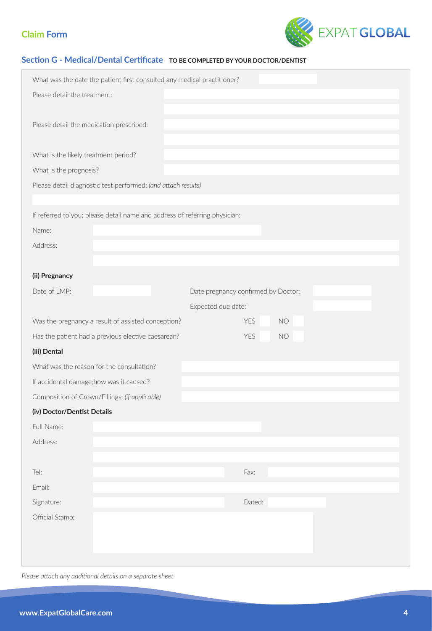

### **Section G - Medical/Dental Certificate TO BE COMPLETED BY YOUR DOCTOR/DENTIST**

| What was the date the patient first consulted any medical practitioner?    |  |  |  |  |
|----------------------------------------------------------------------------|--|--|--|--|
| Please detail the treatment:                                               |  |  |  |  |
| Please detail the medication prescribed:                                   |  |  |  |  |
| What is the likely treatment period?                                       |  |  |  |  |
| What is the prognosis?                                                     |  |  |  |  |
| Please detail diagnostic test performed: (and attach results)              |  |  |  |  |
|                                                                            |  |  |  |  |
| If referred to you; please detail name and address of referring physician: |  |  |  |  |
| Name:                                                                      |  |  |  |  |
| Address:                                                                   |  |  |  |  |
|                                                                            |  |  |  |  |
| (ii) Pregnancy                                                             |  |  |  |  |
| Date of LMP:<br>Date pregnancy confirmed by Doctor:                        |  |  |  |  |
| Expected due date:                                                         |  |  |  |  |
| YES<br><b>NO</b><br>Was the pregnancy a result of assisted conception?     |  |  |  |  |
| Has the patient had a previous elective caesarean?<br><b>NO</b><br>YES     |  |  |  |  |
| (iii) Dental                                                               |  |  |  |  |
| What was the reason for the consultation?                                  |  |  |  |  |
| If accidental damage; how was it caused?                                   |  |  |  |  |
| Composition of Crown/Fillings: (if applicable)                             |  |  |  |  |
| (iv) Doctor/Dentist Details                                                |  |  |  |  |
| Full Name:                                                                 |  |  |  |  |
| Address:                                                                   |  |  |  |  |
|                                                                            |  |  |  |  |
| Fax:<br>Tel:                                                               |  |  |  |  |
| Email:                                                                     |  |  |  |  |
| Dated:<br>Signature:                                                       |  |  |  |  |
| Official Stamp:                                                            |  |  |  |  |
|                                                                            |  |  |  |  |
|                                                                            |  |  |  |  |

*Please attach any additional details on a separate sheet*